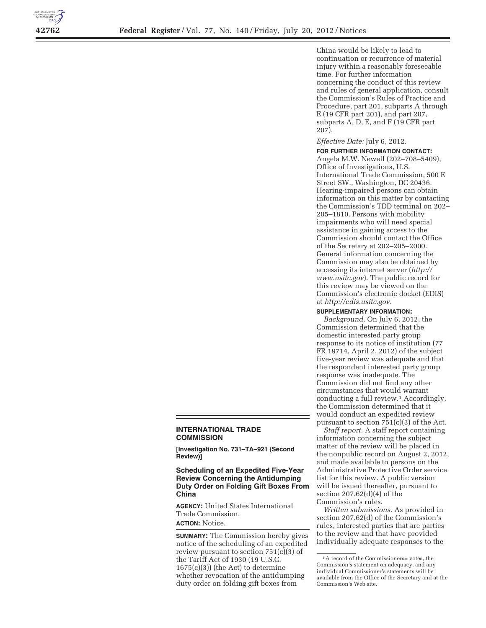

China would be likely to lead to continuation or recurrence of material injury within a reasonably foreseeable time. For further information concerning the conduct of this review and rules of general application, consult the Commission's Rules of Practice and Procedure, part 201, subparts A through E (19 CFR part 201), and part 207, subparts A, D, E, and F (19 CFR part 207).

#### *Effective Date:* July 6, 2012.

**FOR FURTHER INFORMATION CONTACT:**  Angela M.W. Newell (202–708–5409), Office of Investigations, U.S. International Trade Commission, 500 E Street SW., Washington, DC 20436. Hearing-impaired persons can obtain information on this matter by contacting the Commission's TDD terminal on 202– 205–1810. Persons with mobility impairments who will need special assistance in gaining access to the Commission should contact the Office of the Secretary at 202–205–2000. General information concerning the Commission may also be obtained by accessing its internet server (*http:// www.usitc.gov*). The public record for this review may be viewed on the Commission's electronic docket (EDIS) at *http://edis.usitc.gov.* 

#### **SUPPLEMENTARY INFORMATION:**

*Background.* On July 6, 2012, the Commission determined that the domestic interested party group response to its notice of institution (77 FR 19714, April 2, 2012) of the subject five-year review was adequate and that the respondent interested party group response was inadequate. The Commission did not find any other circumstances that would warrant conducting a full review.1 Accordingly, the Commission determined that it would conduct an expedited review pursuant to section 751(c)(3) of the Act.

*Staff report.* A staff report containing information concerning the subject matter of the review will be placed in the nonpublic record on August 2, 2012, and made available to persons on the Administrative Protective Order service list for this review. A public version will be issued thereafter, pursuant to section 207.62(d)(4) of the Commission's rules.

*Written submissions.* As provided in section 207.62(d) of the Commission's rules, interested parties that are parties to the review and that have provided individually adequate responses to the

# **INTERNATIONAL TRADE COMMISSION**

**[Investigation No. 731–TA–921 (Second Review)]** 

# **Scheduling of an Expedited Five-Year Review Concerning the Antidumping Duty Order on Folding Gift Boxes From China**

**AGENCY:** United States International Trade Commission. **ACTION:** Notice.

**SUMMARY:** The Commission hereby gives notice of the scheduling of an expedited review pursuant to section 751(c)(3) of the Tariff Act of 1930 (19 U.S.C. 1675(c)(3)) (the Act) to determine whether revocation of the antidumping duty order on folding gift boxes from

<sup>1</sup>A record of the Commissioners= votes, the Commission's statement on adequacy, and any individual Commissioner's statements will be available from the Office of the Secretary and at the Commission's Web site.